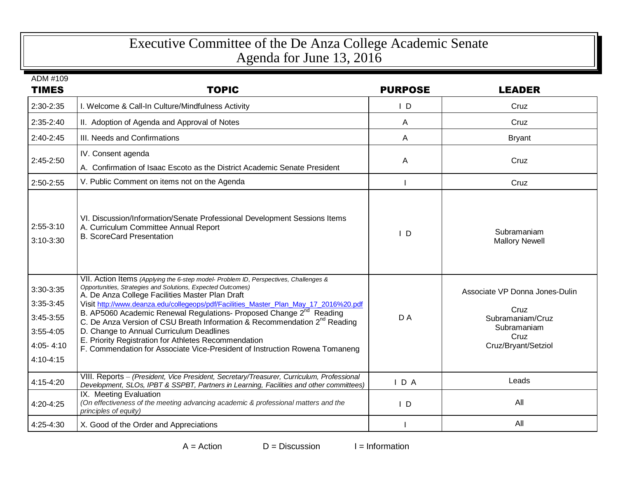## Executive Committee of the De Anza College Academic Senate Agenda for June 13, 2016

| ADM #109<br><b>TIMES</b>                                                           | <b>TOPIC</b>                                                                                                                                                                                                                                                                                                                                                                                                                                                                                                                                                                                                                                                  | <b>PURPOSE</b> | <b>LEADER</b>                                                                                            |
|------------------------------------------------------------------------------------|---------------------------------------------------------------------------------------------------------------------------------------------------------------------------------------------------------------------------------------------------------------------------------------------------------------------------------------------------------------------------------------------------------------------------------------------------------------------------------------------------------------------------------------------------------------------------------------------------------------------------------------------------------------|----------------|----------------------------------------------------------------------------------------------------------|
| 2:30-2:35                                                                          | I. Welcome & Call-In Culture/Mindfulness Activity                                                                                                                                                                                                                                                                                                                                                                                                                                                                                                                                                                                                             | $\mathsf{I}$ D | Cruz                                                                                                     |
| 2:35-2:40                                                                          | II. Adoption of Agenda and Approval of Notes                                                                                                                                                                                                                                                                                                                                                                                                                                                                                                                                                                                                                  | A              | Cruz                                                                                                     |
| 2:40-2:45                                                                          | III. Needs and Confirmations                                                                                                                                                                                                                                                                                                                                                                                                                                                                                                                                                                                                                                  | A              | <b>Bryant</b>                                                                                            |
| 2:45-2:50                                                                          | IV. Consent agenda<br>A. Confirmation of Isaac Escoto as the District Academic Senate President                                                                                                                                                                                                                                                                                                                                                                                                                                                                                                                                                               | A              | Cruz                                                                                                     |
| 2:50-2:55                                                                          | V. Public Comment on items not on the Agenda                                                                                                                                                                                                                                                                                                                                                                                                                                                                                                                                                                                                                  |                | Cruz                                                                                                     |
| $2:55-3:10$<br>3:10-3:30                                                           | VI. Discussion/Information/Senate Professional Development Sessions Items<br>A. Curriculum Committee Annual Report<br><b>B. ScoreCard Presentation</b>                                                                                                                                                                                                                                                                                                                                                                                                                                                                                                        | $\mathsf{I}$ D | Subramaniam<br><b>Mallory Newell</b>                                                                     |
| 3:30-3:35<br>3:35-3:45<br>3:45-3:55<br>$3:55 - 4:05$<br>$4:05 - 4:10$<br>4:10-4:15 | VII. Action Items (Applying the 6-step model- Problem ID, Perspectives, Challenges &<br>Opportunities, Strategies and Solutions, Expected Outcomes)<br>A. De Anza College Facilities Master Plan Draft<br>Visit http://www.deanza.edu/collegeops/pdf/Facilities_Master_Plan_May_17_2016%20.pdf<br>B. AP5060 Academic Renewal Regulations- Proposed Change 2 <sup>nd</sup> Reading<br>C. De Anza Version of CSU Breath Information & Recommendation 2 <sup>nd</sup> Reading<br>D. Change to Annual Curriculum Deadlines<br>E. Priority Registration for Athletes Recommendation<br>F. Commendation for Associate Vice-President of Instruction Rowena Tomaneng | DA             | Associate VP Donna Jones-Dulin<br>Cruz<br>Subramaniam/Cruz<br>Subramaniam<br>Cruz<br>Cruz/Bryant/Setziol |
| 4:15-4:20                                                                          | VIII. Reports - (President, Vice President, Secretary/Treasurer, Curriculum, Professional<br>Development, SLOs, IPBT & SSPBT, Partners in Learning, Facilities and other committees)                                                                                                                                                                                                                                                                                                                                                                                                                                                                          | IDA            | Leads                                                                                                    |
| 4:20-4:25                                                                          | IX. Meeting Evaluation<br>(On effectiveness of the meeting advancing academic & professional matters and the<br>principles of equity)                                                                                                                                                                                                                                                                                                                                                                                                                                                                                                                         | $\mathsf{I}$ D | All                                                                                                      |
| 4:25-4:30                                                                          | X. Good of the Order and Appreciations                                                                                                                                                                                                                                                                                                                                                                                                                                                                                                                                                                                                                        |                | All                                                                                                      |